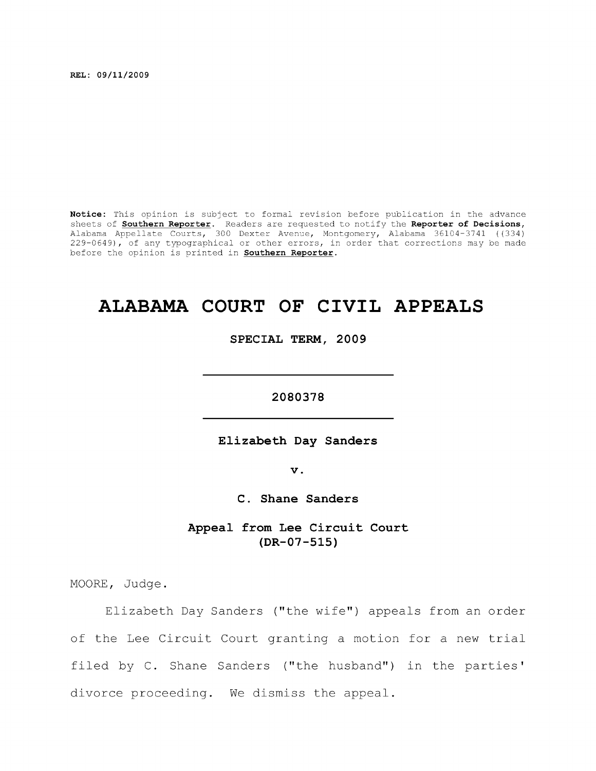**REL: 09/11/2009** 

**Notice:** This opinion is subject to formal revision before publication in the advance sheets of **Southern Reporter.** Readers are requested to notify the **Reporter of Decisions,**  Alabama Appellate Courts, 300 Dexter Avenue, Montgomery, Alabama 36104-3741 ((334) 229-0649), of any typographical or other errors, in order that corrections may be made before the opinion is printed in **Southern Reporter.** 

## **ALABAMA COURT OF CIVIL APPEALS**

**SPECIAL TERM, 2009** 

**2080378** 

**Elizabeth Day Sanders** 

**V .** 

**C. Shane Sanders** 

**Appeal from Lee Circuit Court (DR-07-515)** 

MOORE, Judge.

Elizabeth Day Sanders ("the wife") appeals from an order of the Lee Circuit Court granting a motion for a new trial filed by C. Shane Sanders ("the husband") in the parties' divorce proceeding. We dismiss the appeal.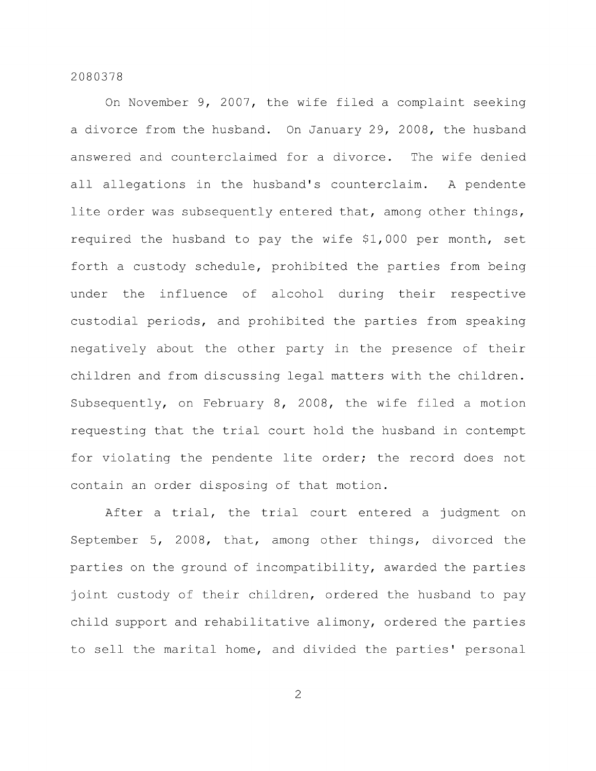On November 9, 2007, the wife filed a complaint seeking a divorce from the husband. On January 29, 2008, the husband answered and counterclaimed for a divorce. The wife denied all allegations in the husband's counterclaim. A pendente lite order was subsequently entered that, among other things, required the husband to pay the wife \$1,000 per month, set forth a custody schedule, prohibited the parties from being under the influence of alcohol during their respective custodial periods, and prohibited the parties from speaking negatively about the other party in the presence of their children and from discussing legal matters with the children. Subsequently, on February 8, 2008, the wife filed a motion requesting that the trial court hold the husband in contempt for violating the pendente lite order; the record does not contain an order disposing of that motion.

After a trial, the trial court entered a judgment on September 5, 2008, that, among other things, divorced the parties on the ground of incompatibility, awarded the parties joint custody of their children, ordered the husband to pay child support and rehabilitative alimony, ordered the parties to sell the marital home, and divided the parties' personal

2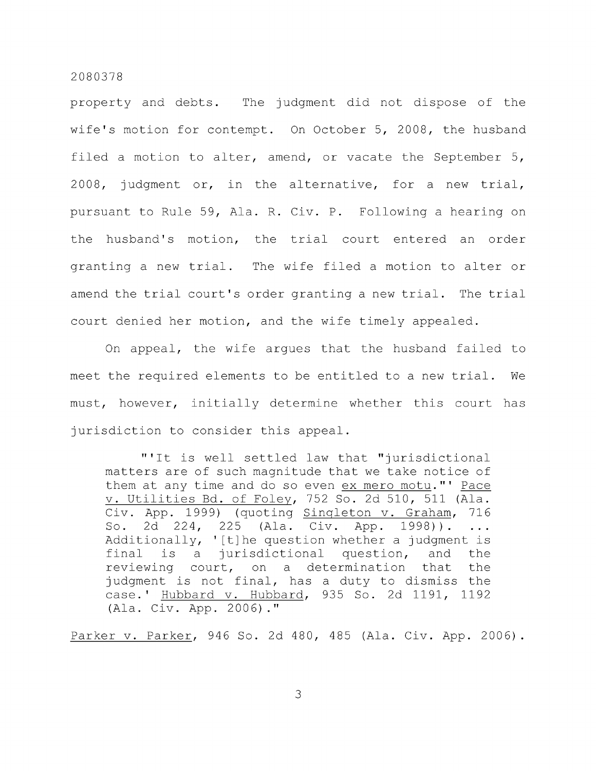property and debts. The judgment did not dispose of the wife's motion for contempt. On October 5, 2008, the husband filed a motion to alter, amend, or vacate the September 5, 2008, judgment or, in the alternative, for a new trial, pursuant to Rule 59, Ala. R. Civ. P. Following a hearing on the husband's motion, the trial court entered an order granting a new trial. The wife filed a motion to alter or amend the trial court's order granting a new trial. The trial court denied her motion, and the wife timely appealed.

On appeal, the wife argues that the husband failed to meet the required elements to be entitled to a new trial. We must, however, initially determine whether this court has jurisdiction to consider this appeal.

"'It is well settled law that "jurisdictional matters are of such magnitude that we take notice of them at any time and do so even ex mero motu." ' Pace V. Utilities Bd. of Foley, 752 So. 2d 510, 511 (Ala. Civ. App. 1999) (quoting Singleton v. Graham, 716 So. 2d 224, 225 (Ala. Civ. App. 1998)).  $\ddots$ Additionally, '[t]he question whether a judgment is final is a jurisdictional question, and the reviewing court, on a determination that the judgment is not final, has a duty to dismiss the case.' Hubbard v. Hubbard, 935 So. 2d 1191, 1192 (Ala. Civ. App. 2006)."

Parker v. Parker, 946 So. 2d 480, 485 (Ala. Civ. App. 2006).

3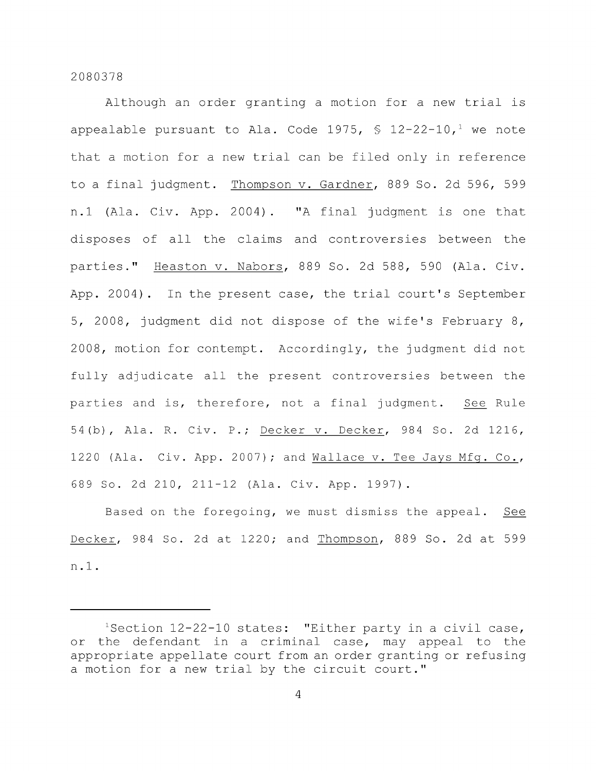Although an order granting a motion for a new trial is appealable pursuant to Ala. Code 1975,  $\frac{1}{2}$  12-22-10,<sup>1</sup> we note that a motion for a new trial can be filed only in reference to a final judgment. Thompson v. Gardner, 889 So. 2d 596, 599 n.l (Ala. Civ. App. 2004) . "A final judgment is one that disposes of all the claims and controversies between the parties." Heaston v. Nabors, 889 So. 2d 588, 590 (Ala. Civ. App. 2004). In the present case, the trial court's September 5, 2008, judgment did not dispose of the wife's February 8, 2008, motion for contempt. Accordingly, the judgment did not fully adjudicate all the present controversies between the parties and is, therefore, not a final judgment. See Rule 54(b), Ala. R. Civ. P.; Decker v. Decker, 984 So. 2d 1216, 1220 (Ala. Civ. App. 2007); and Wallace v. Tee Jays Mfg. Co., 689 So. 2d 210, 211-12 (Ala. Civ. App. 1997).

Based on the foregoing, we must dismiss the appeal. See Decker, 984 So. 2d at 1220; and Thompson, 889 So. 2d at 599 n.l.

 $1$ Section 12-22-10 states: "Either party in a civil case, or the defendant in a criminal case, may appeal to the appropriate appellate court from an order granting or refusing a motion for a new trial by the circuit court."